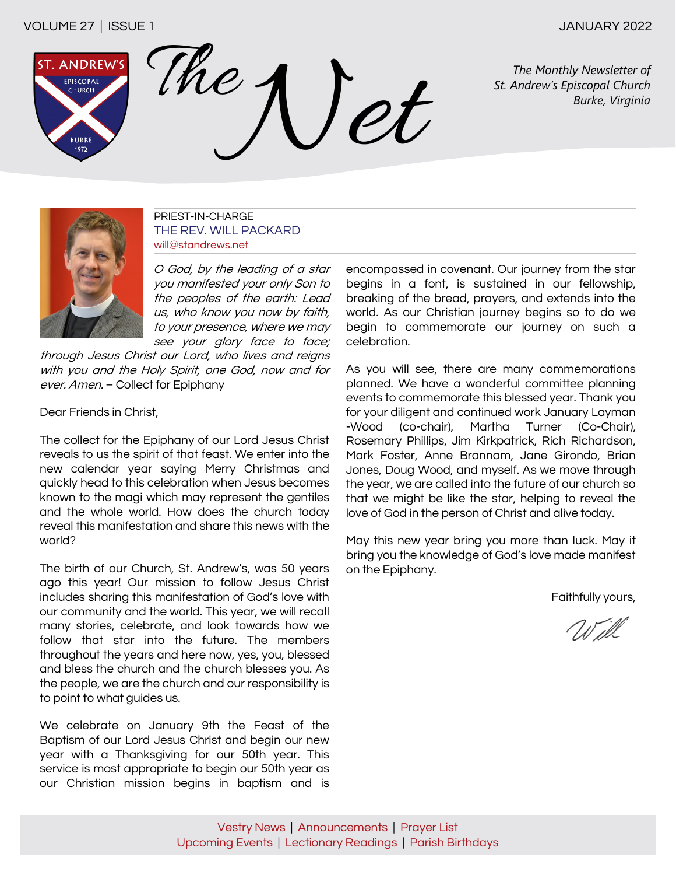# VOLUME 27 | ISSUE 1 JANUARY 2022

**ST. ANDREW** EPISCOPAL CHURCH **BURKI** 1972

The Monthly Newsletter of<br>*St. Andrew's Episcopal Church*<br>*Burke, Virginia* 

*The Monthly Newsletter of* 



PRIEST-IN-CHARGE THE REV. WILL PACKARD will@standrews.net

O God, by the leading of a star you manifested your only Son to the peoples of the earth: Lead us, who know you now by faith, to your presence, where we may see your glory face to face;

through Jesus Christ our Lord, who lives and reigns with you and the Holy Spirit, one God, now and for ever. Amen. - Collect for Epiphany

Dear Friends in Christ

The collect for the Epiphany of our Lord Jesus Christ reveals to us the spirit of that feast. We enter into the new calendar year saying Merry Christmas and quickly head to this celebration when Jesus becomes known to the magi which may represent the gentiles and the whole world. How does the church today reveal this manifestation and share this news with the world?

The birth of our Church, St. Andrew's, was 50 years ago this year! Our mission to follow Jesus Christ includes sharing this manifestation of God's love with our community and the world. This year, we will recall many stories, celebrate, and look towards how we follow that star into the future. The members throughout the years and here now, yes, you, blessed and bless the church and the church blesses you. As the people, we are the church and our responsibility is to point to what guides us.

We celebrate on January 9th the Feast of the Baptism of our Lord Jesus Christ and begin our new year with a Thanksgiving for our 50th year. This service is most appropriate to begin our 50th year as our Christian mission begins in baptism and is encompassed in covenant. Our journey from the star begins in a font, is sustained in our fellowship, breaking of the bread, prayers, and extends into the world. As our Christian journey begins so to do we begin to commemorate our journey on such a celebration.

As you will see, there are many commemorations planned. We have a wonderful committee planning events to commemorate this blessed year. Thank you for your diligent and continued work January Layman -Wood (co-chair), Martha Turner (Co-Chair), Rosemary Phillips, Jim Kirkpatrick, Rich Richardson, Mark Foster, Anne Brannam, Jane Girondo, Brian Jones, Doug Wood, and myself. As we move through the year, we are called into the future of our church so that we might be like the star, helping to reveal the love of God in the person of Christ and alive today.

May this new year bring you more than luck. May it bring you the knowledge of God's love made manifest on the Epiphany.

Faithfully yours,

Will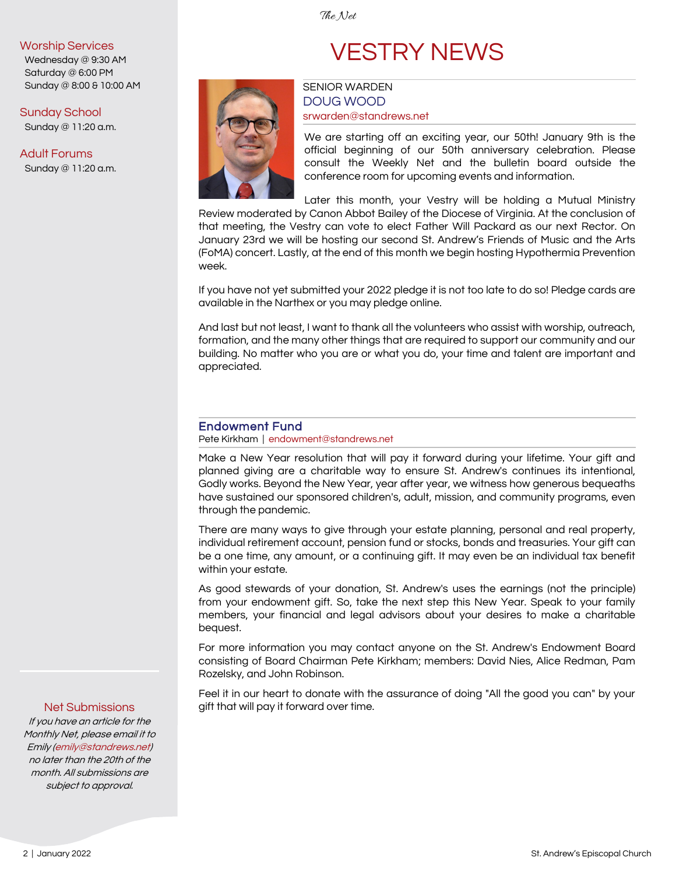The Net

### <span id="page-1-0"></span>Worship Services

Wednesday @ 9:30 AM Saturday @ 6:00 PM Sunday @ 8:00 & 10:00 AM

# Sunday School

Sunday @ 11:20 a.m.

### Adult Forums

Sunday @ 11:20 a.m.



# VESTRY NEWS

# SENIOR WARDEN DOUG WOOD [srwarden@standrews.net](mailto:srwarden@standrews.net)

We are starting off an exciting year, our 50th! January 9th is the official beginning of our 50th anniversary celebration. Please consult the Weekly Net and the bulletin board outside the conference room for upcoming events and information.

Later this month, your Vestry will be holding a Mutual Ministry Review moderated by Canon Abbot Bailey of the Diocese of Virginia. At the conclusion of that meeting, the Vestry can vote to elect Father Will Packard as our next Rector. On January 23rd we will be hosting our second St. Andrew's Friends of Music and the Arts (FoMA) concert. Lastly, at the end of this month we begin hosting Hypothermia Prevention week.

If you have not yet submitted your 2022 pledge it is not too late to do so! Pledge cards are available in the Narthex or you may pledge online.

And last but not least, I want to thank all the volunteers who assist with worship, outreach, formation, and the many other things that are required to support our community and our building. No matter who you are or what you do, your time and talent are important and appreciated.

# Endowment Fund

Pete Kirkham | [endowment@standrews.net](mailto:endowment@standrews.net)

Make a New Year resolution that will pay it forward during your lifetime. Your gift and planned giving are a charitable way to ensure St. Andrew's continues its intentional, Godly works. Beyond the New Year, year after year, we witness how generous bequeaths have sustained our sponsored children's, adult, mission, and community programs, even through the pandemic.

There are many ways to give through your estate planning, personal and real property, individual retirement account, pension fund or stocks, bonds and treasuries. Your gift can be a one time, any amount, or a continuing gift. It may even be an individual tax benefit within your estate.

As good stewards of your donation, St. Andrew's uses the earnings (not the principle) from your endowment gift. So, take the next step this New Year. Speak to your family members, your financial and legal advisors about your desires to make a charitable bequest.

For more information you may contact anyone on the St. Andrew's Endowment Board consisting of Board Chairman Pete Kirkham; members: David Nies, Alice Redman, Pam Rozelsky, and John Robinson.

Feel it in our heart to donate with the assurance of doing "All the good you can" by your gift that will pay it forward over time.

### Net Submissions

If you have an article for the Monthly Net, please email it to Emily [\(emily@standrews.net\)](mailto:emily@standrews.net)  no later than the 20th of the month. All submissions are subject to approval.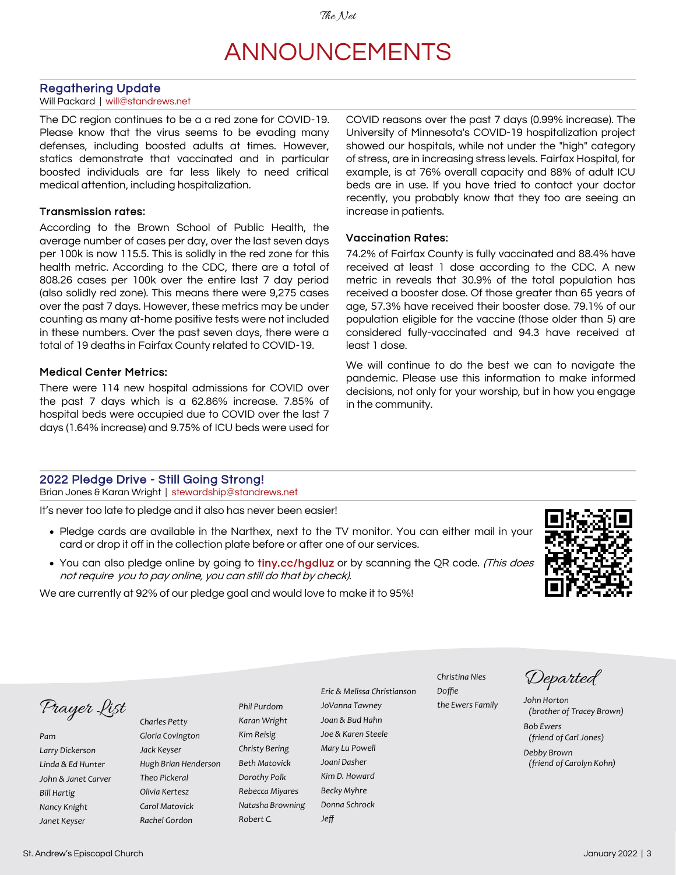# ANNOUNCEMENTS

#### <span id="page-2-0"></span>Regathering Update

#### Will Packard | [will@standrews.net](mailto:will@standrews.net)

The DC region continues to be a a red zone for COVID-19. Please know that the virus seems to be evading many defenses, including boosted adults at times. However, statics demonstrate that vaccinated and in particular boosted individuals are far less likely to need critical medical attention, including hospitalization.

#### Transmission rates:

According to the Brown School of Public Health, the average number of cases per day, over the last seven days per 100k is now 115.5. This is solidly in the red zone for this health metric. According to the CDC, there are a total of 808.26 cases per 100k over the entire last 7 day period (also solidly red zone). This means there were 9,275 cases over the past 7 days. However, these metrics may be under counting as many at-home positive tests were not included in these numbers. Over the past seven days, there were a total of 19 deaths in Fairfax County related to COVID-19.

### Medical Center Metrics:

There were 114 new hospital admissions for COVID over the past 7 days which is a 62.86% increase. 7.85% of hospital beds were occupied due to COVID over the last 7 days (1.64% increase) and 9.75% of ICU beds were used for

COVID reasons over the past 7 days (0.99% increase). The University of Minnesota's COVID-19 hospitalization project showed our hospitals, while not under the "high" category of stress, are in increasing stress levels. Fairfax Hospital, for example, is at 76% overall capacity and 88% of adult ICU beds are in use. If you have tried to contact your doctor recently, you probably know that they too are seeing an increase in patients.

### Vaccination Rates:

74.2% of Fairfax County is fully vaccinated and 88.4% have received at least 1 dose according to the CDC. A new metric in reveals that 30.9% of the total population has received a booster dose. Of those greater than 65 years of age, 57.3% have received their booster dose. 79.1% of our population eligible for the vaccine (those older than 5) are considered fully-vaccinated and 94.3 have received at least 1 dose.

We will continue to do the best we can to navigate the pandemic. Please use this information to make informed decisions, not only for your worship, but in how you engage in the community.

#### 2022 Pledge Drive - Still Going Strong!

Brian Jones & Karan Wright | stewardship@standrews.net

It's never too late to pledge and it also has never been easier!

- Pledge cards are available in the Narthex, next to the TV monitor. You can either mail in your card or drop it off in the collection plate before or after one of our services.
- You can also pledge online by going to tiny.cc/hgdluz or by scanning the QR code. (This does not require you to pay online, you can still do that by check).

We are currently at 92% of our pledge goal and would love to make it to 95%!



Prayer List

*Pam Larry Dickerson Linda & Ed Hunter John & Janet Carver Bill Hartig Nancy Knight Janet Keyser*

*Charles Petty Gloria Covington Jack Keyser Hugh Brian Henderson Theo Pickeral Olivia Kertesz Carol Matovick Rachel Gordon*

*Phil Purdom Karan Wright Kim Reisig Christy Bering Beth Matovick Dorothy Polk Rebecca Miyares Natasha Browning Robert C.*

*Eric & Melissa Christianson JoVanna Tawney Joan & Bud Hahn Joe & Karen Steele Mary Lu Powell Joani Dasher Kim D. Howard Becky Myhre Donna Schrock Jeff*

*Christina Nies Doffie the Ewers Family*

Departed

*John Horton (brother of Tracey Brown) Bob Ewers*

*(friend of Carl Jones)*

*Debby Brown (friend of Carolyn Kohn)*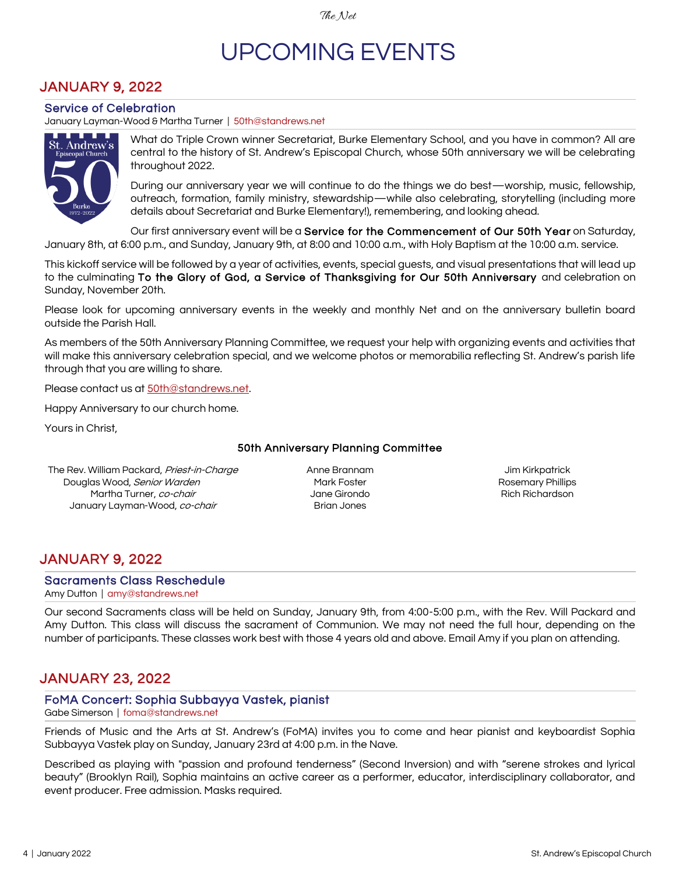# UPCOMING EVENTS

# <span id="page-3-0"></span>JANUARY 9, 2022

### Service of Celebration

January Layman-Wood & Martha Turner | 50th@standrews.net



What do Triple Crown winner Secretariat, Burke Elementary School, and you have in common? All are central to the history of St. Andrew's Episcopal Church, whose 50th anniversary we will be celebrating throughout 2022.

During our anniversary year we will continue to do the things we do best—worship, music, fellowship, outreach, formation, family ministry, stewardship—while also celebrating, storytelling (including more details about Secretariat and Burke Elementary!), remembering, and looking ahead.

Our first anniversary event will be a Service for the Commencement of Our 50th Year on Saturday, January 8th, at 6:00 p.m., and Sunday, January 9th, at 8:00 and 10:00 a.m., with Holy Baptism at the 10:00 a.m. service.

This kickoff service will be followed by a year of activities, events, special guests, and visual presentations that will lead up to the culminating To the Glory of God, a Service of Thanksgiving for Our 50th Anniversary and celebration on Sunday, November 20th.

Please look for upcoming anniversary events in the weekly and monthly Net and on the anniversary bulletin board outside the Parish Hall.

As members of the 50th Anniversary Planning Committee, we request your help with organizing events and activities that will make this anniversary celebration special, and we welcome photos or memorabilia reflecting St. Andrew's parish life through that you are willing to share.

Please contact us at [50th@standrews.net.](mailto:50th@standrews.net)

Happy Anniversary to our church home.

Yours in Christ,

### 50th Anniversary Planning Committee

The Rev. William Packard, Priest-in-Charge Douglas Wood, Senior Warden Martha Turner, co-chair January Layman-Wood, co-chair

Anne Brannam Mark Foster Jane Girondo Brian Jones

Jim Kirkpatrick Rosemary Phillips Rich Richardson

# JANUARY 9, 2022

#### Sacraments Class Reschedule

Amy Dutton | amy@standrews.net

Our second Sacraments class will be held on Sunday, January 9th, from 4:00-5:00 p.m., with the Rev. Will Packard and Amy Dutton. This class will discuss the sacrament of Communion. We may not need the full hour, depending on the number of participants. These classes work best with those 4 years old and above. Email Amy if you plan on attending.

# JANUARY 23, 2022

### FoMA Concert: Sophia Subbayya Vastek, pianist

Gabe Simerson | [foma@standrews.net](mailto:foma@standrews.net)

Friends of Music and the Arts at St. Andrew's (FoMA) invites you to come and hear pianist and keyboardist Sophia Subbayya Vastek play on Sunday, January 23rd at 4:00 p.m. in the Nave.

Described as playing with "passion and profound tenderness" (Second Inversion) and with "serene strokes and lyrical beauty" (Brooklyn Rail), Sophia maintains an active career as a performer, educator, interdisciplinary collaborator, and event producer. Free admission. Masks required.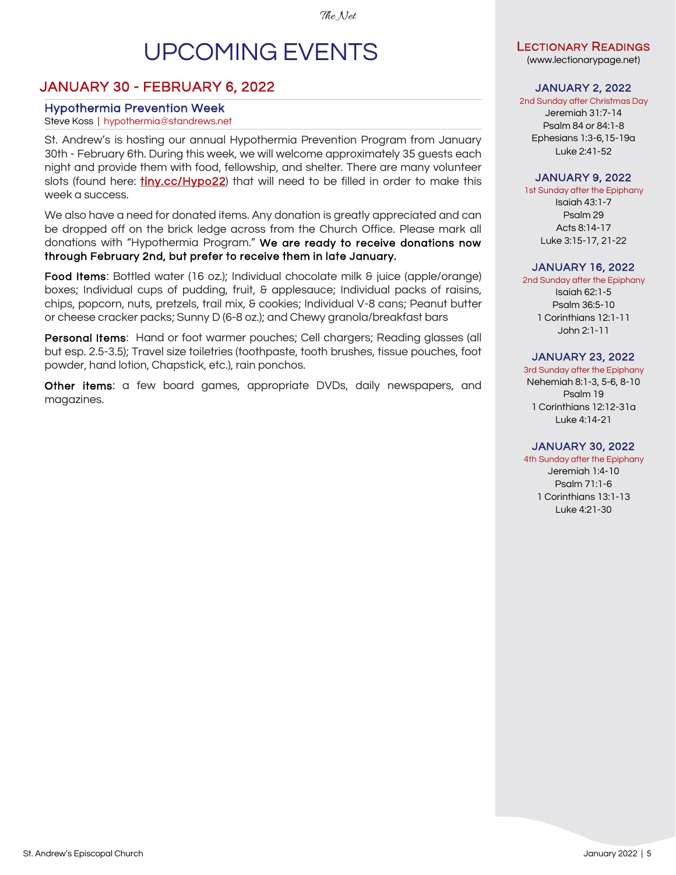# UPCOMING EVENTS

# <span id="page-4-0"></span>JANUARY 30 - FEBRUARY 6, 2022

# Hypothermia Prevention Week

# Steve Koss | hypothermia@standrews.net

St. Andrew's is hosting our annual Hypothermia Prevention Program from January 30th - February 6th. During this week, we will welcome approximately 35 guests each night and provide them with food, fellowship, and shelter. There are many volunteer slots (found here: *tiny.cc/Hypo22*) that will need to be filled in order to make this week a success.

We also have a need for donated items. Any donation is greatly appreciated and can be dropped off on the brick ledge across from the Church Office. Please mark all donations with "Hypothermia Program." We are ready to receive donations now through February 2nd, but prefer to receive them in late January.

Food Items: Bottled water (16 oz.); Individual chocolate milk & juice (apple/orange) boxes; Individual cups of pudding, fruit, & applesauce; Individual packs of raisins, chips, popcorn, nuts, pretzels, trail mix, & cookies; Individual V-8 cans; Peanut butter or cheese cracker packs; Sunny D (6-8 oz.); and Chewy granola/breakfast bars

Personal Items: Hand or foot warmer pouches; Cell chargers; Reading glasses (all but esp. 2.5-3.5); Travel size toiletries (toothpaste, tooth brushes, tissue pouches, foot powder, hand lotion, Chapstick, etc.), rain ponchos.

Other items: a few board games, appropriate DVDs, daily newspapers, and magazines.

# LECTIONARY READINGS

([www.lectionarypage.net\)](http://www.lectionarypage.net)

# JANUARY 2, 2022

2nd Sunday after Christmas Day

Jeremiah 31:7-14 Psalm 84 or 84:1-8 Ephesians 1:3-6,15-19a Luke 2:41-52

# JANUARY 9, 2022

1st Sunday after the Epiphany Isaiah 43:1-7 Psalm 29 Acts 8:14-17 Luke 3:15-17, 21-22

## JANUARY 16, 2022

2nd Sunday after the Epiphany Isaiah 62:1-5 Psalm 36:5-10 1 Corinthians 12:1-11 John 2:1-11

## JANUARY 23, 2022

3rd Sunday after the Epiphany Nehemiah 8:1-3, 5-6, 8-10 Psalm 19 1 Corinthians 12:12-31a Luke 4:14-21

# JANUARY 30, 2022

4th Sunday after the Epiphany Jeremiah 1:4-10

Psalm 71:1-6 1 Corinthians 13:1-13 Luke 4:21-30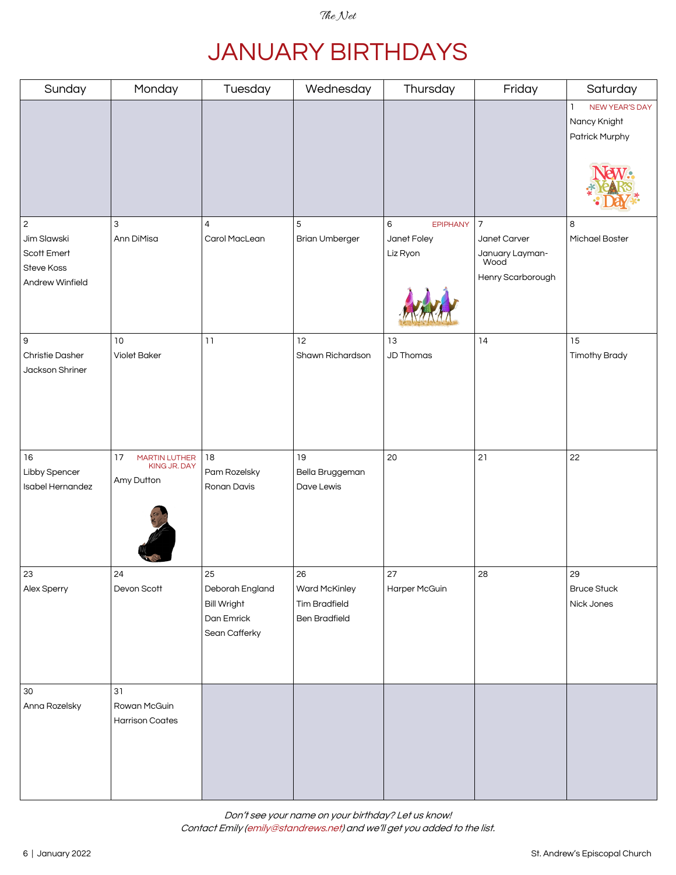# JANUARY BIRTHDAYS

<span id="page-5-0"></span>

| Sunday                             | Monday                                 | Tuesday            | Wednesday             | Thursday             | Friday                   | Saturday                       |
|------------------------------------|----------------------------------------|--------------------|-----------------------|----------------------|--------------------------|--------------------------------|
|                                    |                                        |                    |                       |                      |                          | NEW YEAR'S DAY<br>ı            |
|                                    |                                        |                    |                       |                      |                          | Nancy Knight<br>Patrick Murphy |
|                                    |                                        |                    |                       |                      |                          |                                |
|                                    |                                        |                    |                       |                      |                          |                                |
|                                    |                                        |                    |                       |                      |                          |                                |
|                                    |                                        |                    |                       |                      |                          |                                |
| $\sqrt{2}$                         | 3                                      | 4                  | 5                     | 6<br><b>EPIPHANY</b> | $\overline{\phantom{a}}$ | 8                              |
| Jim Slawski                        | Ann DiMisa                             | Carol MacLean      | <b>Brian Umberger</b> | Janet Foley          | Janet Carver             | Michael Boster                 |
| Scott Emert                        |                                        |                    |                       | Liz Ryon             | January Layman-<br>Wood  |                                |
| Steve Koss<br>Andrew Winfield      |                                        |                    |                       |                      | Henry Scarborough        |                                |
|                                    |                                        |                    |                       |                      |                          |                                |
|                                    |                                        |                    |                       |                      |                          |                                |
| $\mathsf 9$                        | 10                                     | 11                 | 12                    | 13                   | 14                       | 15                             |
| Christie Dasher<br>Jackson Shriner | <b>Violet Baker</b>                    |                    | Shawn Richardson      | <b>JD Thomas</b>     |                          | <b>Timothy Brady</b>           |
|                                    |                                        |                    |                       |                      |                          |                                |
|                                    |                                        |                    |                       |                      |                          |                                |
|                                    |                                        |                    |                       |                      |                          |                                |
|                                    |                                        |                    |                       |                      |                          |                                |
| 16                                 | 17<br>MARTIN LUTHER                    | 18                 | 19                    | 20                   | 21                       | 22                             |
| Libby Spencer                      | KING JR. DAY<br>Amy Dutton             | Pam Rozelsky       | Bella Bruggeman       |                      |                          |                                |
| Isabel Hernandez                   |                                        | Ronan Davis        | Dave Lewis            |                      |                          |                                |
|                                    |                                        |                    |                       |                      |                          |                                |
|                                    |                                        |                    |                       |                      |                          |                                |
|                                    |                                        |                    |                       |                      |                          |                                |
| 23                                 | 24                                     | 25                 | 26                    | 27                   | 28                       | 29                             |
| Alex Sperry                        | Devon Scott                            | Deborah England    | Ward McKinley         | Harper McGuin        |                          | <b>Bruce Stuck</b>             |
|                                    |                                        | <b>Bill Wright</b> | <b>Tim Bradfield</b>  |                      |                          | Nick Jones                     |
|                                    |                                        | Dan Emrick         | <b>Ben Bradfield</b>  |                      |                          |                                |
|                                    |                                        | Sean Cafferky      |                       |                      |                          |                                |
|                                    |                                        |                    |                       |                      |                          |                                |
|                                    |                                        |                    |                       |                      |                          |                                |
| $30\,$                             | 31                                     |                    |                       |                      |                          |                                |
| Anna Rozelsky                      | Rowan McGuin<br><b>Harrison Coates</b> |                    |                       |                      |                          |                                |
|                                    |                                        |                    |                       |                      |                          |                                |
|                                    |                                        |                    |                       |                      |                          |                                |
|                                    |                                        |                    |                       |                      |                          |                                |
|                                    |                                        |                    |                       |                      |                          |                                |

Don't see your name on your birthday? Let us know! Contact Emily [\(emily@standrews.net](mailto:emily@standrews.net)) and we'll get you added to the list.